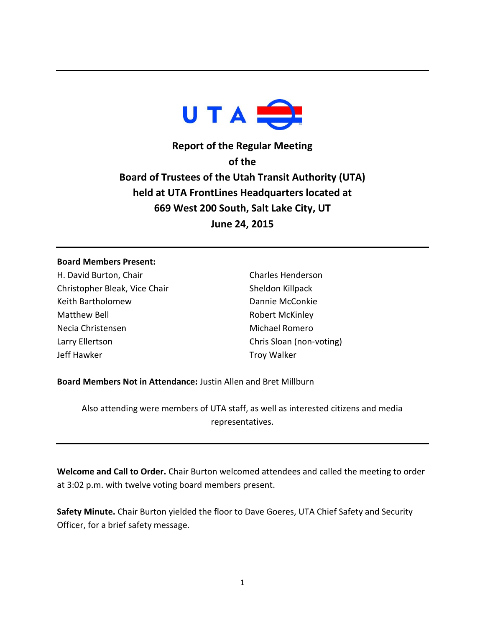

**Report of the Regular Meeting of the Board of Trustees of the Utah Transit Authority (UTA) held at UTA FrontLines Headquarters located at 669 West 200 South, Salt Lake City, UT June 24, 2015**

## **Board Members Present:**

H. David Burton, Chair Christopher Bleak, Vice Chair Keith Bartholomew Matthew Bell Necia Christensen Larry Ellertson Jeff Hawker

Charles Henderson Sheldon Killpack Dannie McConkie Robert McKinley Michael Romero Chris Sloan (non-voting) Troy Walker

**Board Members Not in Attendance:** Justin Allen and Bret Millburn

Also attending were members of UTA staff, as well as interested citizens and media representatives.

**Welcome and Call to Order.** Chair Burton welcomed attendees and called the meeting to order at 3:02 p.m. with twelve voting board members present.

**Safety Minute.** Chair Burton yielded the floor to Dave Goeres, UTA Chief Safety and Security Officer, for a brief safety message.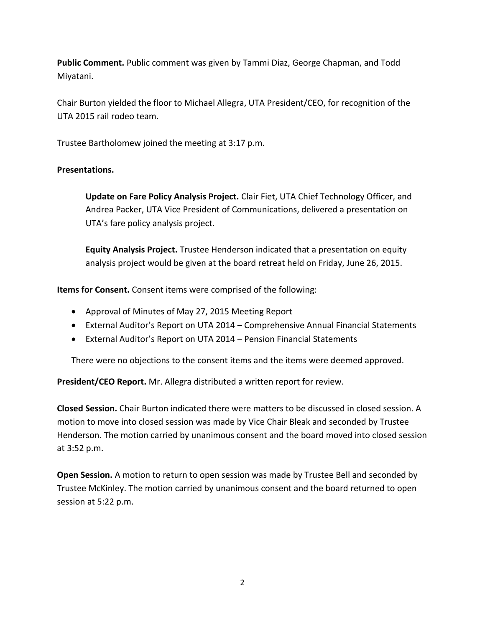**Public Comment.** Public comment was given by Tammi Diaz, George Chapman, and Todd Miyatani.

Chair Burton yielded the floor to Michael Allegra, UTA President/CEO, for recognition of the UTA 2015 rail rodeo team.

Trustee Bartholomew joined the meeting at 3:17 p.m.

## **Presentations.**

**Update on Fare Policy Analysis Project.** Clair Fiet, UTA Chief Technology Officer, and Andrea Packer, UTA Vice President of Communications, delivered a presentation on UTA's fare policy analysis project.

**Equity Analysis Project.** Trustee Henderson indicated that a presentation on equity analysis project would be given at the board retreat held on Friday, June 26, 2015.

**Items for Consent.** Consent items were comprised of the following:

- Approval of Minutes of May 27, 2015 Meeting Report
- External Auditor's Report on UTA 2014 Comprehensive Annual Financial Statements
- External Auditor's Report on UTA 2014 Pension Financial Statements

There were no objections to the consent items and the items were deemed approved.

**President/CEO Report.** Mr. Allegra distributed a written report for review.

**Closed Session.** Chair Burton indicated there were matters to be discussed in closed session. A motion to move into closed session was made by Vice Chair Bleak and seconded by Trustee Henderson. The motion carried by unanimous consent and the board moved into closed session at 3:52 p.m.

**Open Session.** A motion to return to open session was made by Trustee Bell and seconded by Trustee McKinley. The motion carried by unanimous consent and the board returned to open session at 5:22 p.m.